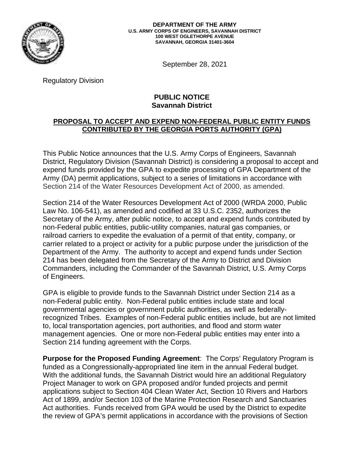

September 28, 2021

Regulatory Division

## **PUBLIC NOTICE Savannah District**

## **CONTRIBUTED BY THE GEORGIA PORTS AUTHORITY (GPA) PROPOSAL TO ACCEPT AND EXPEND NON-FEDERAL PUBLIC ENTITY FUNDS**

 Section 214 of the Water Resources Development Act of 2000, as amended. This Public Notice announces that the U.S. Army Corps of Engineers, Savannah District, Regulatory Division (Savannah District) is considering a proposal to accept and expend funds provided by the GPA to expedite processing of GPA Department of the Army (DA) permit applications, subject to a series of limitations in accordance with

 Section 214 of the Water Resources Development Act of 2000 (WRDA 2000, Public Law No. 106-541), as amended and codified at 33 U.S.C. 2352, authorizes the Secretary of the Army, after public notice, to accept and expend funds contributed by railroad carriers to expedite the evaluation of a permit of that entity, company, or non-Federal public entities, public-utility companies, natural gas companies, or carrier related to a project or activity for a public purpose under the jurisdiction of the Department of the Army. The authority to accept and expend funds under Section 214 has been delegated from the Secretary of the Army to District and Division Commanders, including the Commander of the Savannah District, U.S. Army Corps of Engineers.

 GPA is eligible to provide funds to the Savannah District under Section 214 as a governmental agencies or government public authorities, as well as federallynon-Federal public entity. Non-Federal public entities include state and local recognized Tribes. Examples of non-Federal public entities include, but are not limited to, local transportation agencies, port authorities, and flood and storm water management agencies. One or more non-Federal public entities may enter into a Section 214 funding agreement with the Corps.

 **Purpose for the Proposed Funding Agreement**: The Corps' Regulatory Program is funded as a Congressionally-appropriated line item in the annual Federal budget. With the additional funds, the Savannah District would hire an additional Regulatory Project Manager to work on GPA proposed and/or funded projects and permit applications subject to Section 404 Clean Water Act, Section 10 Rivers and Harbors Act of 1899, and/or Section 103 of the Marine Protection Research and Sanctuaries Act authorities. Funds received from GPA would be used by the District to expedite the review of GPA's permit applications in accordance with the provisions of Section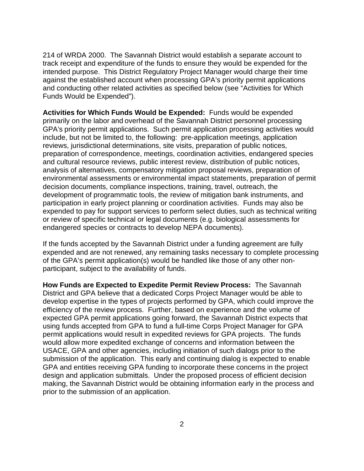214 of WRDA 2000. The Savannah District would establish a separate account to track receipt and expenditure of the funds to ensure they would be expended for the intended purpose. This District Regulatory Project Manager would charge their time against the established account when processing GPA's priority permit applications and conducting other related activities as specified below (see "Activities for Which Funds Would be Expended").

 **Activities for Which Funds Would be Expended:** Funds would be expended primarily on the labor and overhead of the Savannah District personnel processing GPA's priority permit applications. Such permit application processing activities would include, but not be limited to, the following: pre-application meetings, application expended to pay for support services to perform select duties, such as technical writing endangered species or contracts to develop NEPA documents). reviews, jurisdictional determinations, site visits, preparation of public notices, preparation of correspondence, meetings, coordination activities, endangered species and cultural resource reviews, public interest review, distribution of public notices, analysis of alternatives, compensatory mitigation proposal reviews, preparation of environmental assessments or environmental impact statements, preparation of permit decision documents, compliance inspections, training, travel, outreach, the development of programmatic tools, the review of mitigation bank instruments, and participation in early project planning or coordination activities. Funds may also be or review of specific technical or legal documents (e.g. biological assessments for

endangered species or contracts to develop NEPA documents).<br>If the funds accepted by the Savannah District under a funding agreement are fully expended and are not renewed, any remaining tasks necessary to complete processing of the GPA's permit application(s) would be handled like those of any other nonparticipant, subject to the availability of funds.

 **How Funds are Expected to Expedite Permit Review Process:** The Savannah efficiency of the review process. Further, based on experience and the volume of design and application submittals. Under the proposed process of efficient decision District and GPA believe that a dedicated Corps Project Manager would be able to develop expertise in the types of projects performed by GPA, which could improve the expected GPA permit applications going forward, the Savannah District expects that using funds accepted from GPA to fund a full-time Corps Project Manager for GPA permit applications would result in expedited reviews for GPA projects. The funds would allow more expedited exchange of concerns and information between the USACE, GPA and other agencies, including initiation of such dialogs prior to the submission of the application. This early and continuing dialog is expected to enable GPA and entities receiving GPA funding to incorporate these concerns in the project making, the Savannah District would be obtaining information early in the process and prior to the submission of an application.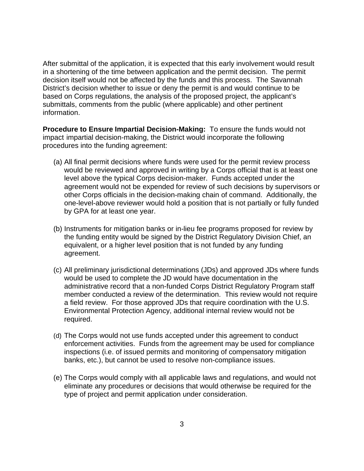submittals, comments from the public (where applicable) and other pertinent After submittal of the application, it is expected that this early involvement would result in a shortening of the time between application and the permit decision. The permit decision itself would not be affected by the funds and this process. The Savannah District's decision whether to issue or deny the permit is and would continue to be based on Corps regulations, the analysis of the proposed project, the applicant's information.

 **Procedure to Ensure Impartial Decision-Making:** To ensure the funds would not impact impartial decision-making, the District would incorporate the following procedures into the funding agreement:

- (a) All final permit decisions where funds were used for the permit review process would be reviewed and approved in writing by a Corps official that is at least one level above the typical Corps decision-maker. Funds accepted under the agreement would not be expended for review of such decisions by supervisors or other Corps officials in the decision-making chain of command. Additionally, the one-level-above reviewer would hold a position that is not partially or fully funded by GPA for at least one year.
- equivalent, or a higher level position that is not funded by any funding (b) Instruments for mitigation banks or in-lieu fee programs proposed for review by the funding entity would be signed by the District Regulatory Division Chief, an agreement.
- required. (c) All preliminary jurisdictional determinations (JDs) and approved JDs where funds would be used to complete the JD would have documentation in the administrative record that a non-funded Corps District Regulatory Program staff member conducted a review of the determination. This review would not require a field review. For those approved JDs that require coordination with the U.S. Environmental Protection Agency, additional internal review would not be
- enforcement activities. Funds from the agreement may be used for compliance banks, etc.), but cannot be used to resolve non-compliance issues. (d) The Corps would not use funds accepted under this agreement to conduct inspections (i.e. of issued permits and monitoring of compensatory mitigation
- (e) The Corps would comply with all applicable laws and regulations, and would not eliminate any procedures or decisions that would otherwise be required for the type of project and permit application under consideration.